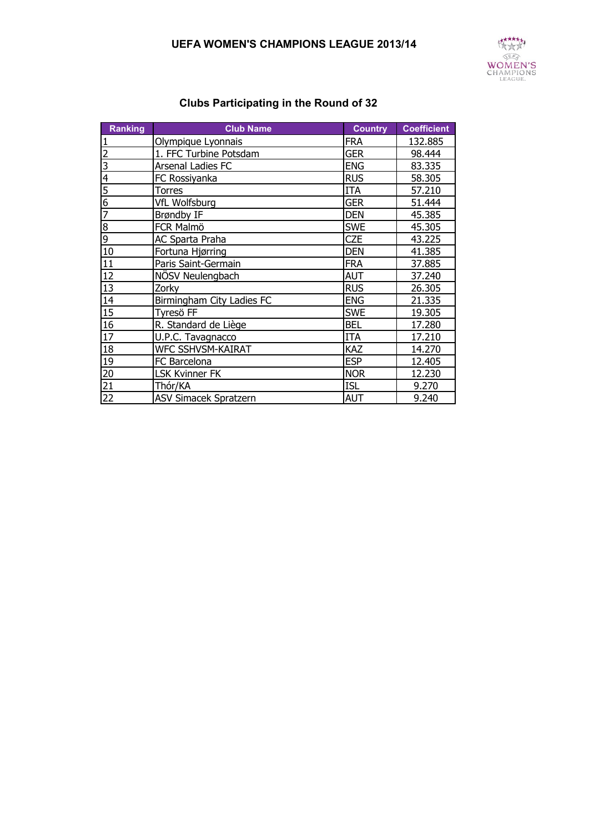## **UEFA WOMEN'S CHAMPIONS LEAGUE 2013/14**



| <b>Ranking</b>  | <b>Club Name</b>             | <b>Country</b> | <b>Coefficient</b> |
|-----------------|------------------------------|----------------|--------------------|
|                 | Olympique Lyonnais           | <b>FRA</b>     | 132.885            |
| $\overline{2}$  | 1. FFC Turbine Potsdam       | <b>GER</b>     | 98.444             |
| 3               | Arsenal Ladies FC            | <b>ENG</b>     | 83.335             |
| 4               | FC Rossiyanka                | <b>RUS</b>     | 58.305             |
| 5               | Torres                       | <b>ITA</b>     | 57.210             |
| $\overline{6}$  | <b>VfL Wolfsburg</b>         | <b>GER</b>     | 51.444             |
| $\overline{7}$  | Brøndby IF                   | <b>DEN</b>     | 45.385             |
| $\overline{8}$  | FCR Malmö                    | <b>SWE</b>     | 45.305             |
| $\overline{9}$  | <b>AC Sparta Praha</b>       | <b>CZE</b>     | 43.225             |
| 10              | Fortuna Hjørring             | <b>DEN</b>     | 41.385             |
| 11              | Paris Saint-Germain          | <b>FRA</b>     | 37.885             |
| 12              | NÖSV Neulengbach             | AUT            | 37.240             |
| 13              | Zorky                        | <b>RUS</b>     | 26.305             |
| 14              | Birmingham City Ladies FC    | <b>ENG</b>     | 21.335             |
| 15              | Tyresö FF                    | <b>SWE</b>     | 19.305             |
| 16              | R. Standard de Liège         | <b>BEL</b>     | 17.280             |
| 17              | U.P.C. Tavagnacco            | <b>ITA</b>     | 17.210             |
| 18              | <b>WFC SSHVSM-KAIRAT</b>     | KAZ            | 14.270             |
| 19              | FC Barcelona                 | <b>ESP</b>     | 12.405             |
| 20              | <b>LSK Kvinner FK</b>        | <b>NOR</b>     | 12.230             |
| $\overline{21}$ | Thór/KA                      | <b>ISL</b>     | 9.270              |
| $\overline{22}$ | <b>ASV Simacek Spratzern</b> | <b>AUT</b>     | 9.240              |

## **Clubs Participating in the Round of 32**